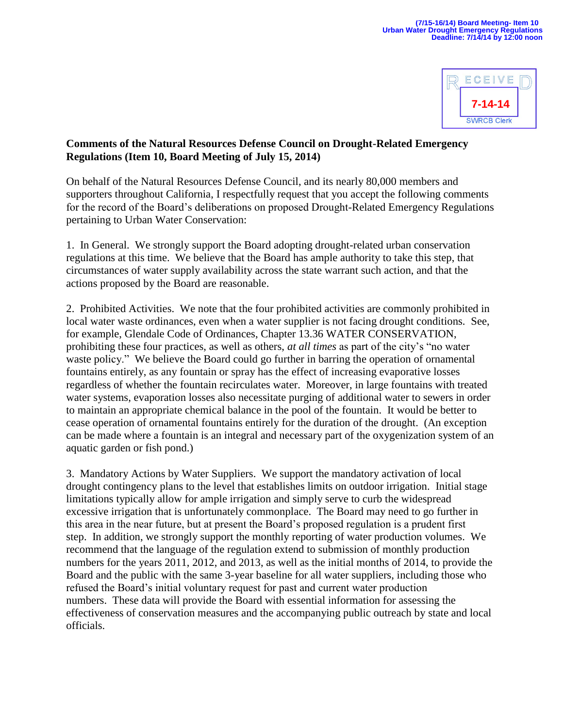

## **Comments of the Natural Resources Defense Council on Drought-Related Emergency Regulations (Item 10, Board Meeting of July 15, 2014)**

On behalf of the Natural Resources Defense Council, and its nearly 80,000 members and supporters throughout California, I respectfully request that you accept the following comments for the record of the Board's deliberations on proposed Drought-Related Emergency Regulations pertaining to Urban Water Conservation:

1. In General. We strongly support the Board adopting drought-related urban conservation regulations at this time. We believe that the Board has ample authority to take this step, that circumstances of water supply availability across the state warrant such action, and that the actions proposed by the Board are reasonable.

2. Prohibited Activities. We note that the four prohibited activities are commonly prohibited in local water waste ordinances, even when a water supplier is not facing drought conditions. See, for example, Glendale Code of Ordinances, Chapter 13.36 WATER CONSERVATION, prohibiting these four practices, as well as others, *at all times* as part of the city's "no water waste policy." We believe the Board could go further in barring the operation of ornamental fountains entirely, as any fountain or spray has the effect of increasing evaporative losses regardless of whether the fountain recirculates water. Moreover, in large fountains with treated water systems, evaporation losses also necessitate purging of additional water to sewers in order to maintain an appropriate chemical balance in the pool of the fountain. It would be better to cease operation of ornamental fountains entirely for the duration of the drought. (An exception can be made where a fountain is an integral and necessary part of the oxygenization system of an aquatic garden or fish pond.)

3. Mandatory Actions by Water Suppliers. We support the mandatory activation of local drought contingency plans to the level that establishes limits on outdoor irrigation. Initial stage limitations typically allow for ample irrigation and simply serve to curb the widespread excessive irrigation that is unfortunately commonplace. The Board may need to go further in this area in the near future, but at present the Board's proposed regulation is a prudent first step. In addition, we strongly support the monthly reporting of water production volumes. We recommend that the language of the regulation extend to submission of monthly production numbers for the years 2011, 2012, and 2013, as well as the initial months of 2014, to provide the Board and the public with the same 3-year baseline for all water suppliers, including those who refused the Board's initial voluntary request for past and current water production numbers. These data will provide the Board with essential information for assessing the effectiveness of conservation measures and the accompanying public outreach by state and local officials.